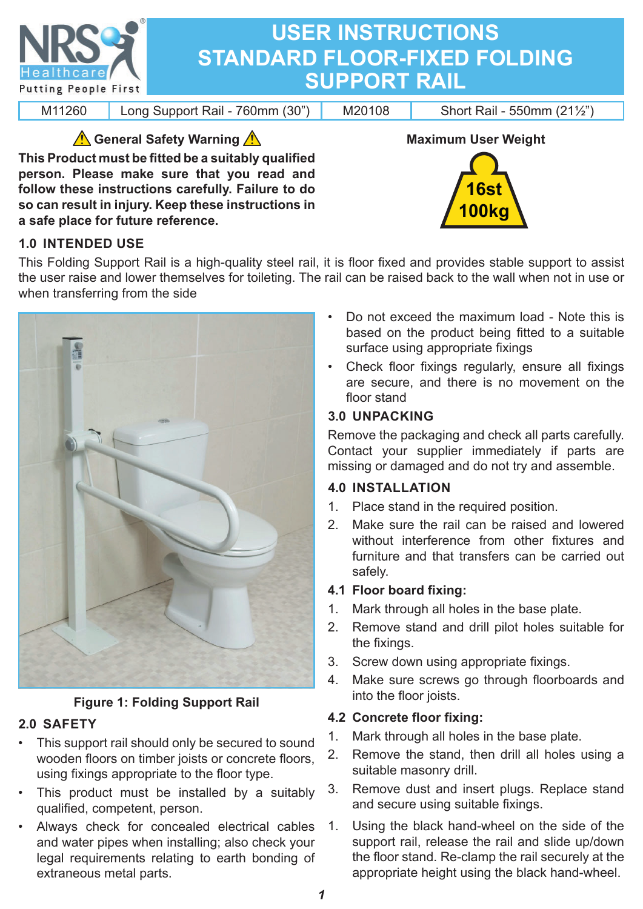

### **1.0 INTENDED USE**

**a safe place for future reference.**

This Folding Support Rail is a high-quality steel rail, it is floor fixed and provides stable support to assist the user raise and lower themselves for toileting. The rail can be raised back to the wall when not in use or when transferring from the side



**so can result in injury. Keep these instructions in** 

# **Figure 1: Folding Support Rail**

#### **2.0 SAFETY**

- This support rail should only be secured to sound wooden floors on timber joists or concrete floors, using fixings appropriate to the floor type.
- This product must be installed by a suitably qualified, competent, person.
- Always check for concealed electrical cables and water pipes when installing; also check your legal requirements relating to earth bonding of extraneous metal parts.

• Do not exceed the maximum load - Note this is based on the product being fitted to a suitable surface using appropriate fixings

**100kg**

• Check floor fixings regularly, ensure all fixings are secure, and there is no movement on the floor stand

### **3.0 UNPACKING**

Remove the packaging and check all parts carefully. Contact your supplier immediately if parts are missing or damaged and do not try and assemble.

#### **4.0 INSTALLATION**

- 1. Place stand in the required position.
- 2. Make sure the rail can be raised and lowered without interference from other fixtures and furniture and that transfers can be carried out safely.

#### **4.1 Floor board fi xing:**

- 1. Mark through all holes in the base plate.
- 2. Remove stand and drill pilot holes suitable for the fixings.
- 3. Screw down using appropriate fixings.
- 4. Make sure screws go through floorboards and into the floor joists.

# **4.2 Concrete fl oor fi xing:**

- 1. Mark through all holes in the base plate.
- 2. Remove the stand, then drill all holes using a suitable masonry drill.
- 3. Remove dust and insert plugs. Replace stand and secure using suitable fixings.
- 1. Using the black hand-wheel on the side of the support rail, release the rail and slide up/down the floor stand. Re-clamp the rail securely at the appropriate height using the black hand-wheel.